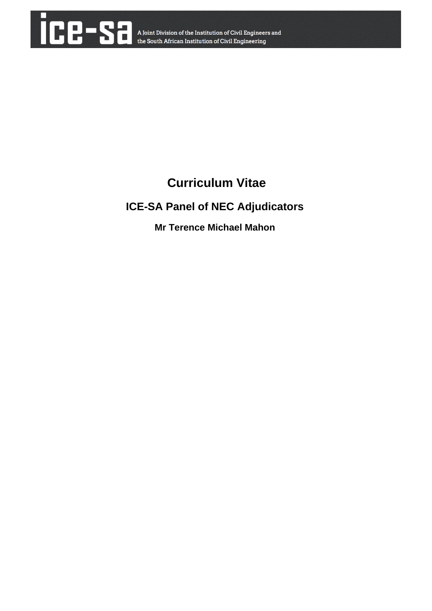

# **Curriculum Vitae**

# **ICE-SA Panel of NEC Adjudicators**

**Mr Terence Michael Mahon**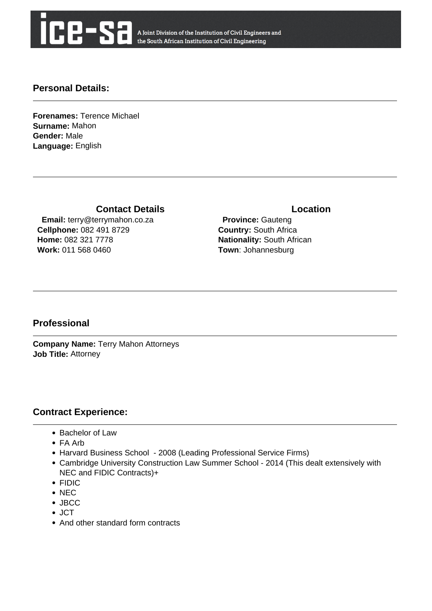

A Joint Division of the Institution of Civil Engineers and the South African Institution of Civil Engineering

### **Personal Details:**

**Forenames:** Terence Michael **Surname:** Mahon **Gender:** Male **Language:** English

#### **Contact Details Contact Details**

 **Email:** terry@terrymahon.co.za **Cellphone:** 082 491 8729 **Home:** 082 321 7778 **Work:** 011 568 0460

 **Province:** Gauteng **Country:** South Africa **Nationality:** South African **Town**: Johannesburg

#### **Professional**

**Company Name:** Terry Mahon Attorneys **Job Title:** Attorney

#### **Contract Experience:**

- Bachelor of Law
- FA Arb
- Harvard Business School 2008 (Leading Professional Service Firms)
- Cambridge University Construction Law Summer School 2014 (This dealt extensively with NEC and FIDIC Contracts)+
- FIDIC
- NEC
- JBCC
- JCT
- And other standard form contracts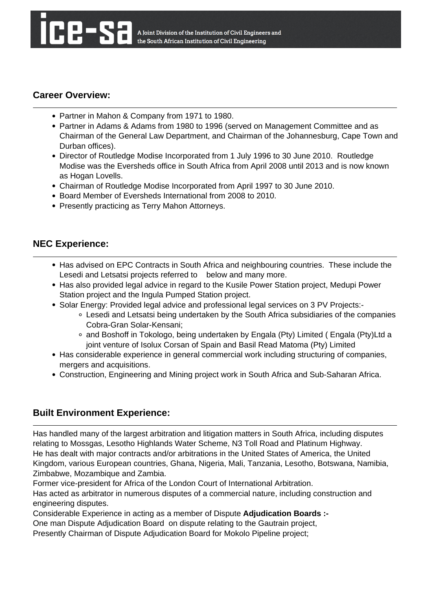## **Career Overview:**

- Partner in Mahon & Company from 1971 to 1980.
- Partner in Adams & Adams from 1980 to 1996 (served on Management Committee and as Chairman of the General Law Department, and Chairman of the Johannesburg, Cape Town and Durban offices).
- Director of Routledge Modise Incorporated from 1 July 1996 to 30 June 2010. Routledge Modise was the Eversheds office in South Africa from April 2008 until 2013 and is now known as Hogan Lovells.
- Chairman of Routledge Modise Incorporated from April 1997 to 30 June 2010.
- Board Member of Eversheds International from 2008 to 2010.
- Presently practicing as Terry Mahon Attorneys.

# **NEC Experience:**

- Has advised on EPC Contracts in South Africa and neighbouring countries. These include the Lesedi and Letsatsi projects referred to below and many more.
- Has also provided legal advice in regard to the Kusile Power Station project, Medupi Power Station project and the Ingula Pumped Station project.
- Solar Energy: Provided legal advice and professional legal services on 3 PV Projects:-
	- Lesedi and Letsatsi being undertaken by the South Africa subsidiaries of the companies Cobra-Gran Solar-Kensani;
	- and Boshoff in Tokologo, being undertaken by Engala (Pty) Limited ( Engala (Pty)Ltd a joint venture of Isolux Corsan of Spain and Basil Read Matoma (Pty) Limited
- Has considerable experience in general commercial work including structuring of companies, mergers and acquisitions.
- Construction, Engineering and Mining project work in South Africa and Sub-Saharan Africa.

## **Built Environment Experience:**

Has handled many of the largest arbitration and litigation matters in South Africa, including disputes relating to Mossgas, Lesotho Highlands Water Scheme, N3 Toll Road and Platinum Highway. He has dealt with major contracts and/or arbitrations in the United States of America, the United Kingdom, various European countries, Ghana, Nigeria, Mali, Tanzania, Lesotho, Botswana, Namibia, Zimbabwe, Mozambique and Zambia.

Former vice-president for Africa of the London Court of International Arbitration. Has acted as arbitrator in numerous disputes of a commercial nature, including construction and engineering disputes.

Considerable Experience in acting as a member of Dispute **Adjudication Boards :-**

One man Dispute Adjudication Board on dispute relating to the Gautrain project,

Presently Chairman of Dispute Adjudication Board for Mokolo Pipeline project;